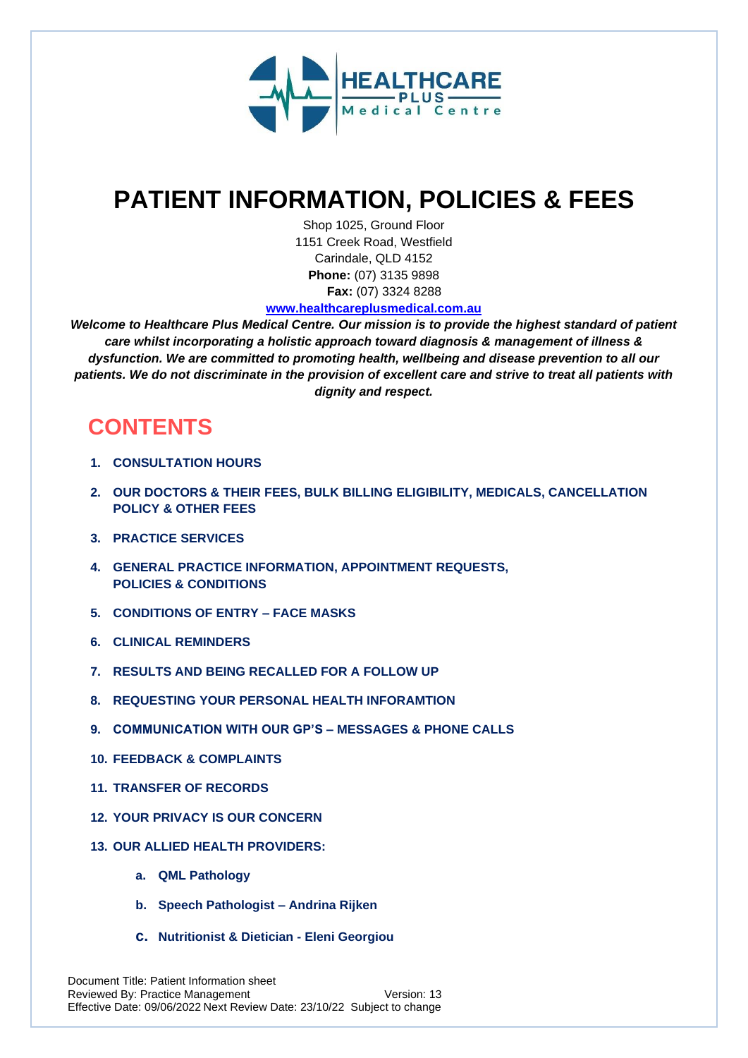

# **PATIENT INFORMATION, POLICIES & FEES**

Shop 1025, Ground Floor 1151 Creek Road, Westfield Carindale, QLD 4152 **Phone:** (07) 3135 9898  **Fax:** (07) 3324 8288

#### **[www.healthcareplusmedical.com.au](http://www.healthcareplusmedical.com.au/)**

*Welcome to Healthcare Plus Medical Centre. Our mission is to provide the highest standard of patient care whilst incorporating a holistic approach toward diagnosis & management of illness & dysfunction. We are committed to promoting health, wellbeing and disease prevention to all our patients. We do not discriminate in the provision of excellent care and strive to treat all patients with dignity and respect.*

# **CONTENTS**

- **1. CONSULTATION HOURS**
- **2. OUR DOCTORS & THEIR FEES, BULK BILLING ELIGIBILITY, MEDICALS, CANCELLATION POLICY & OTHER FEES**
- **3. PRACTICE SERVICES**
- **4. GENERAL PRACTICE INFORMATION, APPOINTMENT REQUESTS, POLICIES & CONDITIONS**
- **5. CONDITIONS OF ENTRY – FACE MASKS**
- **6. CLINICAL REMINDERS**
- **7. RESULTS AND BEING RECALLED FOR A FOLLOW UP**
- **8. REQUESTING YOUR PERSONAL HEALTH INFORAMTION**
- **9. COMMUNICATION WITH OUR GP'S – MESSAGES & PHONE CALLS**
- **10. FEEDBACK & COMPLAINTS**
- **11. TRANSFER OF RECORDS**
- **12. YOUR PRIVACY IS OUR CONCERN**
- **13. OUR ALLIED HEALTH PROVIDERS:**
	- **a. QML Pathology**
	- **b. Speech Pathologist – Andrina Rijken**
	- **c. Nutritionist & Dietician - Eleni Georgiou**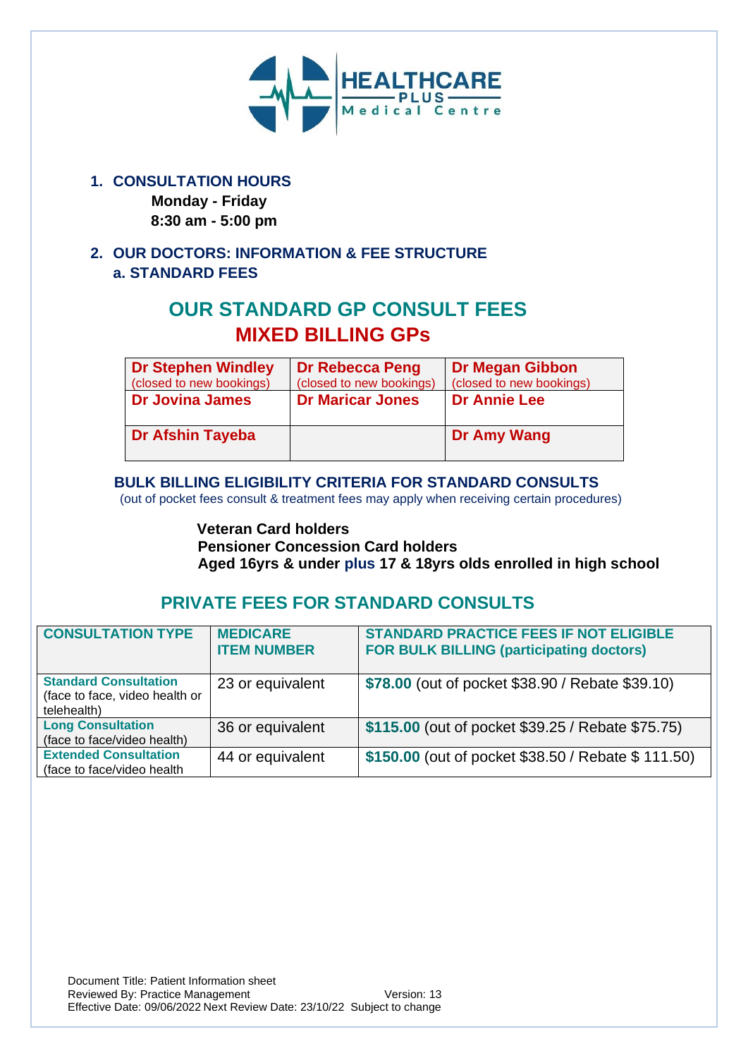

## **1. CONSULTATION HOURS**

 **Monday - Friday 8:30 am - 5:00 pm**

## **2. OUR DOCTORS: INFORMATION & FEE STRUCTURE a. STANDARD FEES**

# **OUR STANDARD GP CONSULT FEES MIXED BILLING GPs**

| <b>Dr Stephen Windley</b><br>(closed to new bookings) | <b>Dr Rebecca Peng</b><br>(closed to new bookings) | <b>Dr Megan Gibbon</b><br>(closed to new bookings) |
|-------------------------------------------------------|----------------------------------------------------|----------------------------------------------------|
| <b>Dr Jovina James</b>                                | <b>Dr Maricar Jones</b>                            | <b>Dr Annie Lee</b>                                |
| <b>Dr Afshin Tayeba</b>                               |                                                    | Dr Amy Wang                                        |

### **BULK BILLING ELIGIBILITY CRITERIA FOR STANDARD CONSULTS**

(out of pocket fees consult & treatment fees may apply when receiving certain procedures)

## **Veteran Card holders Pensioner Concession Card holders Aged 16yrs & under plus 17 & 18yrs olds enrolled in high school**

## **PRIVATE FEES FOR STANDARD CONSULTS**

| <b>CONSULTATION TYPE</b>                                                      | <b>MEDICARE</b><br><b>ITEM NUMBER</b> | <b>STANDARD PRACTICE FEES IF NOT ELIGIBLE</b><br><b>FOR BULK BILLING (participating doctors)</b> |
|-------------------------------------------------------------------------------|---------------------------------------|--------------------------------------------------------------------------------------------------|
| <b>Standard Consultation</b><br>(face to face, video health or<br>telehealth) | 23 or equivalent                      | \$78.00 (out of pocket \$38.90 / Rebate \$39.10)                                                 |
| <b>Long Consultation</b><br>(face to face/video health)                       | 36 or equivalent                      | \$115.00 (out of pocket \$39.25 / Rebate \$75.75)                                                |
| <b>Extended Consultation</b><br>(face to face/video health                    | 44 or equivalent                      | \$150.00 (out of pocket \$38.50 / Rebate \$111.50)                                               |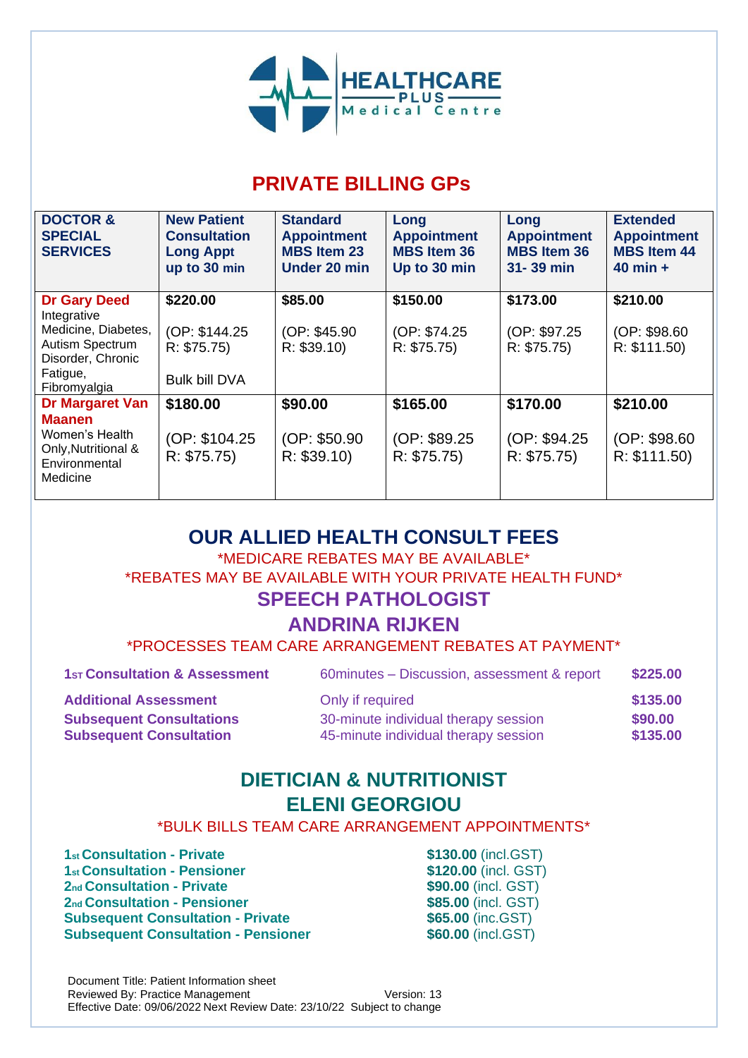

# **PRIVATE BILLING GPs**

| <b>DOCTOR &amp;</b><br><b>SPECIAL</b><br><b>SERVICES</b>           | <b>New Patient</b><br><b>Consultation</b><br><b>Long Appt</b><br>up to 30 min | <b>Standard</b><br><b>Appointment</b><br><b>MBS Item 23</b><br>Under 20 min | Long<br><b>Appointment</b><br><b>MBS Item 36</b><br>Up to 30 min | Long<br><b>Appointment</b><br><b>MBS Item 36</b><br>31-39 min | <b>Extended</b><br><b>Appointment</b><br><b>MBS Item 44</b><br>$40$ min $+$ |
|--------------------------------------------------------------------|-------------------------------------------------------------------------------|-----------------------------------------------------------------------------|------------------------------------------------------------------|---------------------------------------------------------------|-----------------------------------------------------------------------------|
| <b>Dr Gary Deed</b><br>Integrative                                 | \$220.00                                                                      | \$85.00                                                                     | \$150.00                                                         | \$173.00                                                      | \$210.00                                                                    |
| Medicine, Diabetes,<br>Autism Spectrum<br>Disorder, Chronic        | (OP: \$144.25)<br>R: \$75.75)                                                 | (OP: \$45.90)<br>R: \$39.10                                                 | (OP: \$74.25)<br>R: \$75.75                                      | (OP: \$97.25<br>R: \$75.75                                    | (OP: \$98.60)<br>R: \$111.50)                                               |
| Fatigue,<br>Fibromyalgia                                           | <b>Bulk bill DVA</b>                                                          |                                                                             |                                                                  |                                                               |                                                                             |
| Dr Margaret Van<br><b>Maanen</b>                                   | \$180.00                                                                      | \$90.00                                                                     | \$165.00                                                         | \$170.00                                                      | \$210.00                                                                    |
| Women's Health<br>Only, Nutritional &<br>Environmental<br>Medicine | (OP: \$104.25<br>R: \$75.75                                                   | (OP: \$50.90)<br>R: \$39.10                                                 | (OP: \$89.25)<br>R: \$75.75                                      | (OP: \$94.25)<br>R: \$75.75                                   | (OP: \$98.60)<br>R: \$111.50)                                               |

# **OUR ALLIED HEALTH CONSULT FEES**

\*MEDICARE REBATES MAY BE AVAILABLE\* \*REBATES MAY BE AVAILABLE WITH YOUR PRIVATE HEALTH FUND\* **SPEECH PATHOLOGIST**

## **ANDRINA RIJKEN**

\*PROCESSES TEAM CARE ARRANGEMENT REBATES AT PAYMENT\*

| <b>1st Consultation &amp; Assessment</b> | 60 minutes - Discussion, assessment & report | \$225.00 |
|------------------------------------------|----------------------------------------------|----------|
| <b>Additional Assessment</b>             | Only if required                             | \$135.00 |
| <b>Subsequent Consultations</b>          | 30-minute individual therapy session         | \$90.00  |
| <b>Subsequent Consultation</b>           | 45-minute individual therapy session         | \$135.00 |

# **DIETICIAN & NUTRITIONIST ELENI GEORGIOU**

\*BULK BILLS TEAM CARE ARRANGEMENT APPOINTMENTS\*

**st Consultation - Private \$130.00** (incl.GST) **st Consultation - Pensioner 6120.00** (incl. GST) **nd Consultation - Private \$90.00** (incl. GST) **nd Consultation - Pensioner \$85.00** (incl. GST) **Subsequent Consultation - Private \$65.00 (inc.GST) Subsequent Consultation - Pensioner \$60.00 (incl.GST)**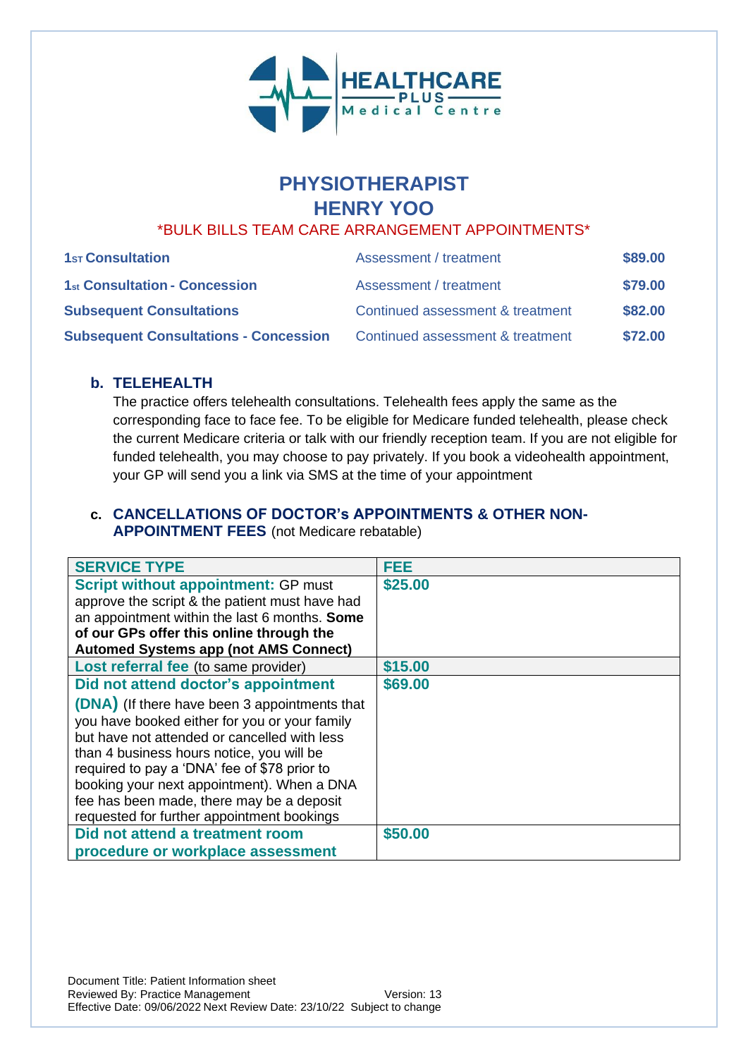

# **PHYSIOTHERAPIST HENRY YOO**

## \*BULK BILLS TEAM CARE ARRANGEMENT APPOINTMENTS\*

| <b>1st Consultation</b>                      | Assessment / treatment           | \$89.00 |
|----------------------------------------------|----------------------------------|---------|
| 1st Consultation - Concession                | Assessment / treatment           | \$79.00 |
| <b>Subsequent Consultations</b>              | Continued assessment & treatment | \$82,00 |
| <b>Subsequent Consultations - Concession</b> | Continued assessment & treatment | \$72.00 |

#### **b. TELEHEALTH**

The practice offers telehealth consultations. Telehealth fees apply the same as the corresponding face to face fee. To be eligible for Medicare funded telehealth, please check the current Medicare criteria or talk with our friendly reception team. If you are not eligible for funded telehealth, you may choose to pay privately. If you book a videohealth appointment, your GP will send you a link via SMS at the time of your appointment

### **c. CANCELLATIONS OF DOCTOR's APPOINTMENTS & OTHER NON-APPOINTMENT FEES** (not Medicare rebatable)

| <b>SERVICE TYPE</b>                                                                                                                                                                                                                                                                                                                                                                                                         | FEE     |
|-----------------------------------------------------------------------------------------------------------------------------------------------------------------------------------------------------------------------------------------------------------------------------------------------------------------------------------------------------------------------------------------------------------------------------|---------|
| <b>Script without appointment: GP must</b><br>approve the script & the patient must have had<br>an appointment within the last 6 months. Some<br>of our GPs offer this online through the<br><b>Automed Systems app (not AMS Connect)</b>                                                                                                                                                                                   | \$25.00 |
| Lost referral fee (to same provider)                                                                                                                                                                                                                                                                                                                                                                                        | \$15.00 |
| Did not attend doctor's appointment<br>(DNA) (If there have been 3 appointments that<br>you have booked either for you or your family<br>but have not attended or cancelled with less<br>than 4 business hours notice, you will be<br>required to pay a 'DNA' fee of \$78 prior to<br>booking your next appointment). When a DNA<br>fee has been made, there may be a deposit<br>requested for further appointment bookings | \$69.00 |
| Did not attend a treatment room                                                                                                                                                                                                                                                                                                                                                                                             | \$50.00 |
| procedure or workplace assessment                                                                                                                                                                                                                                                                                                                                                                                           |         |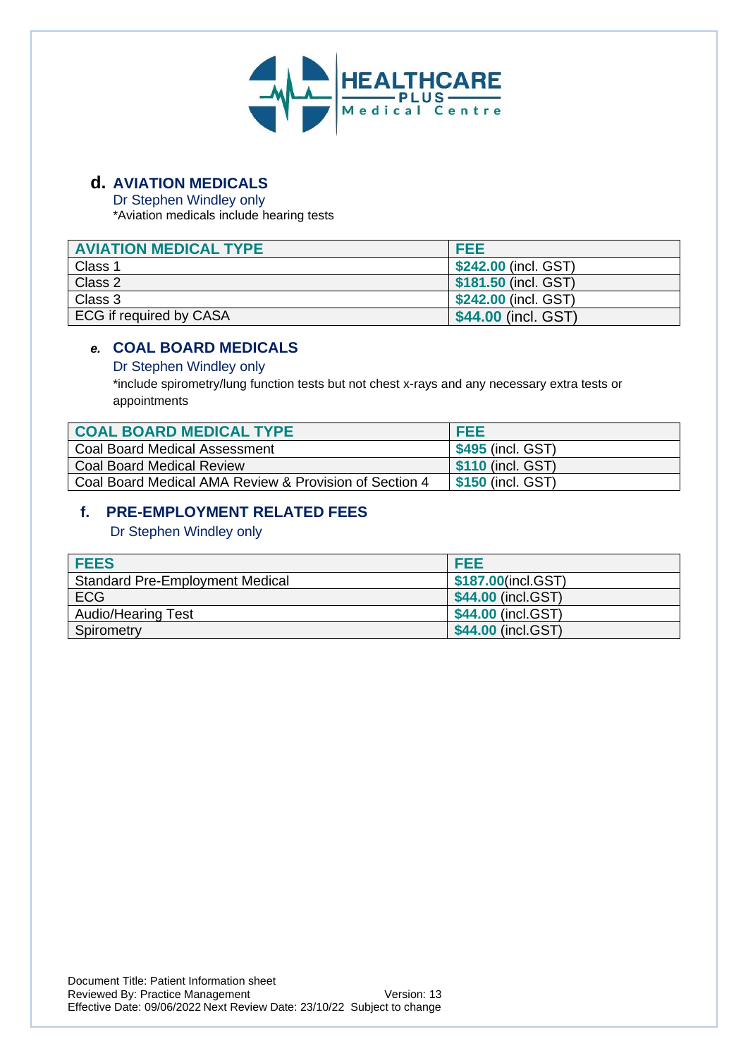

## **d. AVIATION MEDICALS**

Dr Stephen Windley only

\*Aviation medicals include hearing tests

| <b>AVIATION MEDICAL TYPE</b> | FEE                  |
|------------------------------|----------------------|
| Class 1                      | \$242.00 (incl. GST) |
| Class 2                      | \$181.50 (incl. GST) |
| Class 3                      | \$242.00 (incl. GST) |
| ECG if required by CASA      | \$44.00 (incl. GST)  |

## *e.* **COAL BOARD MEDICALS**

#### Dr Stephen Windley only

\*include spirometry/lung function tests but not chest x-rays and any necessary extra tests or appointments

| <b>COAL BOARD MEDICAL TYPE</b>                         | <b>FEE</b>                      |
|--------------------------------------------------------|---------------------------------|
| Coal Board Medical Assessment                          | \$495 (incl. GST)               |
| <b>Coal Board Medical Review</b>                       | \$110 (incl. GST)               |
| Coal Board Medical AMA Review & Provision of Section 4 | $\frac{1}{2}$ \$150 (incl. GST) |

#### **f. PRE-EMPLOYMENT RELATED FEES**

Dr Stephen Windley only

| <b>FEES</b>                            | FEE                |
|----------------------------------------|--------------------|
| <b>Standard Pre-Employment Medical</b> | \$187.00(incl.GST) |
| <b>ECG</b>                             | \$44.00 (incl.GST) |
| <b>Audio/Hearing Test</b>              | \$44.00 (incl.GST) |
| Spirometry                             | \$44.00 (incl.GST) |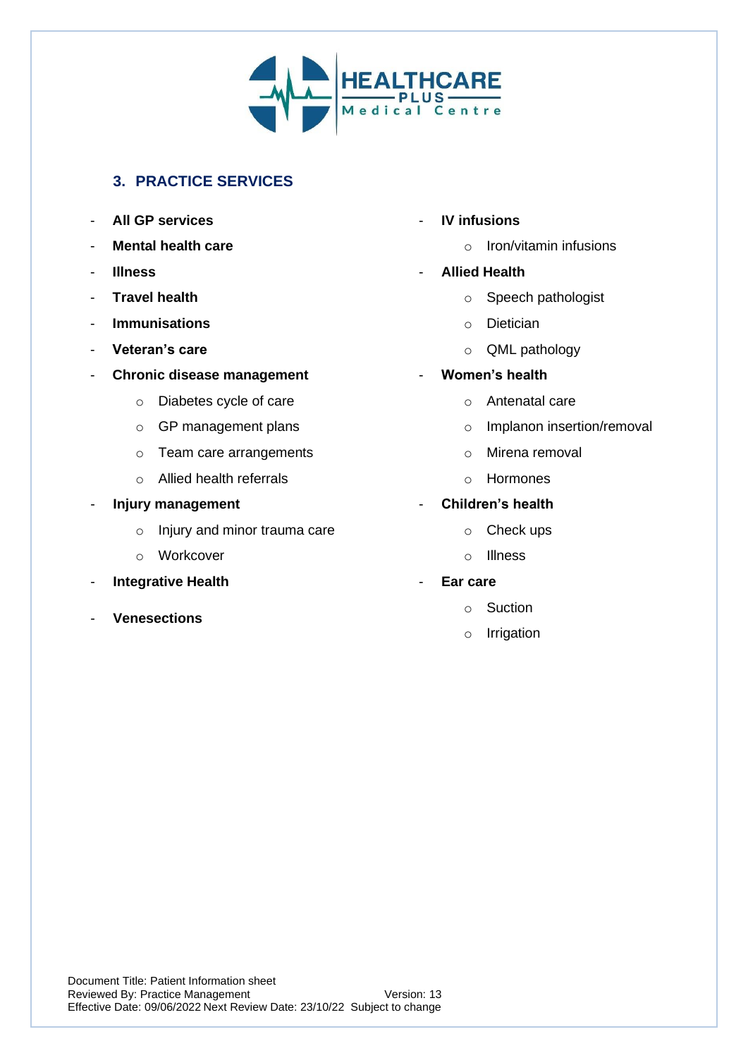

## **3. PRACTICE SERVICES**

- **All GP services**
- **Mental health care**
- **Illness**
- **Travel health**
- **Immunisations**
- **Veteran's care**
- **Chronic disease management** 
	- o Diabetes cycle of care
	- o GP management plans
	- o Team care arrangements
	- o Allied health referrals
- **Injury management**
	- o Injury and minor trauma care
	- o Workcover
- **Integrative Health**
- **Venesections**
- **IV infusions**
	- o Iron/vitamin infusions
- **Allied Health**
	- o Speech pathologist
	- o Dietician
	- o QML pathology
- **Women's health**
	- o Antenatal care
	- o Implanon insertion/removal
	- o Mirena removal
	- o Hormones
- **Children's health**
	- o Check ups
	- o Illness
- **Ear care**
	- o Suction
	- o Irrigation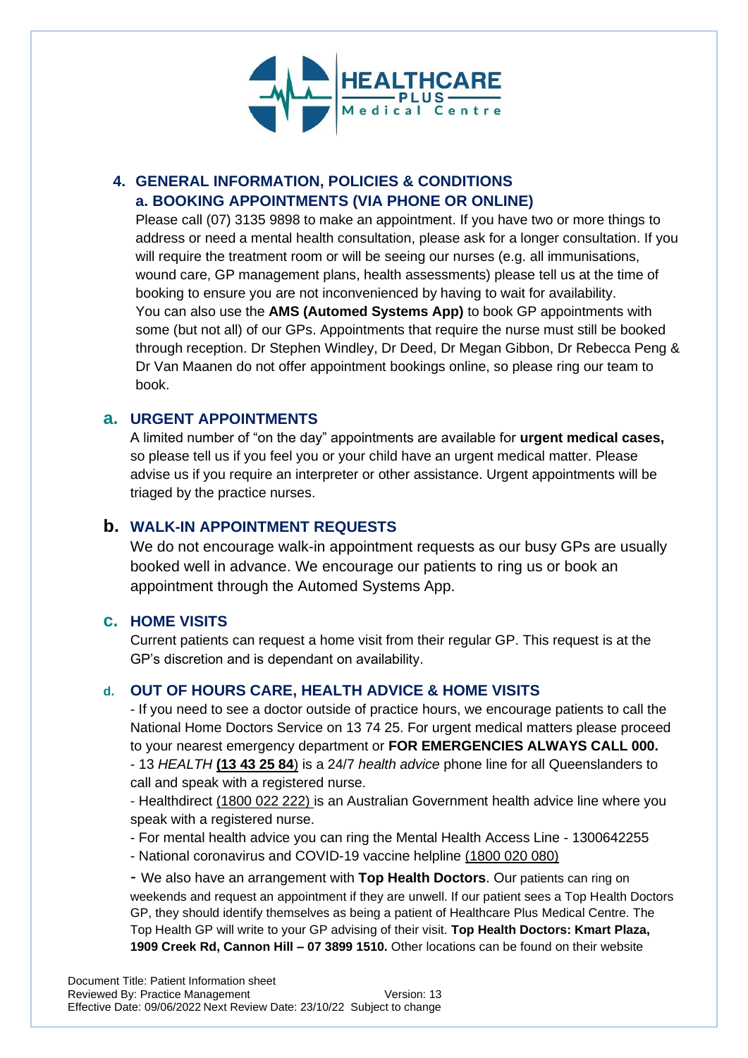

## **4. GENERAL INFORMATION, POLICIES & CONDITIONS a. BOOKING APPOINTMENTS (VIA PHONE OR ONLINE)**

Please call (07) 3135 9898 to make an appointment. If you have two or more things to address or need a mental health consultation, please ask for a longer consultation. If you will require the treatment room or will be seeing our nurses (e.g. all immunisations, wound care, GP management plans, health assessments) please tell us at the time of booking to ensure you are not inconvenienced by having to wait for availability. You can also use the **AMS (Automed Systems App)** to book GP appointments with some (but not all) of our GPs. Appointments that require the nurse must still be booked through reception. Dr Stephen Windley, Dr Deed, Dr Megan Gibbon, Dr Rebecca Peng & Dr Van Maanen do not offer appointment bookings online, so please ring our team to book.

### **a. URGENT APPOINTMENTS**

A limited number of "on the day" appointments are available for **urgent medical cases,** so please tell us if you feel you or your child have an urgent medical matter. Please advise us if you require an interpreter or other assistance. Urgent appointments will be triaged by the practice nurses.

#### **b. WALK-IN APPOINTMENT REQUESTS**

We do not encourage walk-in appointment requests as our busy GPs are usually booked well in advance. We encourage our patients to ring us or book an appointment through the Automed Systems App.

#### **c. HOME VISITS**

Current patients can request a home visit from their regular GP. This request is at the GP's discretion and is dependant on availability.

#### **d. OUT OF HOURS CARE, HEALTH ADVICE & HOME VISITS**

- If you need to see a doctor outside of practice hours, we encourage patients to call the National Home Doctors Service on 13 74 25. For urgent medical matters please proceed to your nearest emergency department or **FOR EMERGENCIES ALWAYS CALL 000.** - 13 *HEALTH* **(13 43 25 84**) is a 24/7 *health advice* phone line for all Queenslanders to call and speak with a registered nurse.

- Healthdirect (1800 022 222) is an Australian Government health advice line where you speak with a registered nurse.

- For mental health advice you can ring the Mental Health Access Line 1300642255
- National coronavirus and COVID-19 vaccine helpline (1800 020 080)

- We also have an arrangement with **Top Health Doctors**. Our patients can ring on weekends and request an appointment if they are unwell. If our patient sees a Top Health Doctors GP, they should identify themselves as being a patient of Healthcare Plus Medical Centre. The Top Health GP will write to your GP advising of their visit. **Top Health Doctors: Kmart Plaza, 1909 Creek Rd, Cannon Hill – 07 3899 1510.** Other locations can be found on their website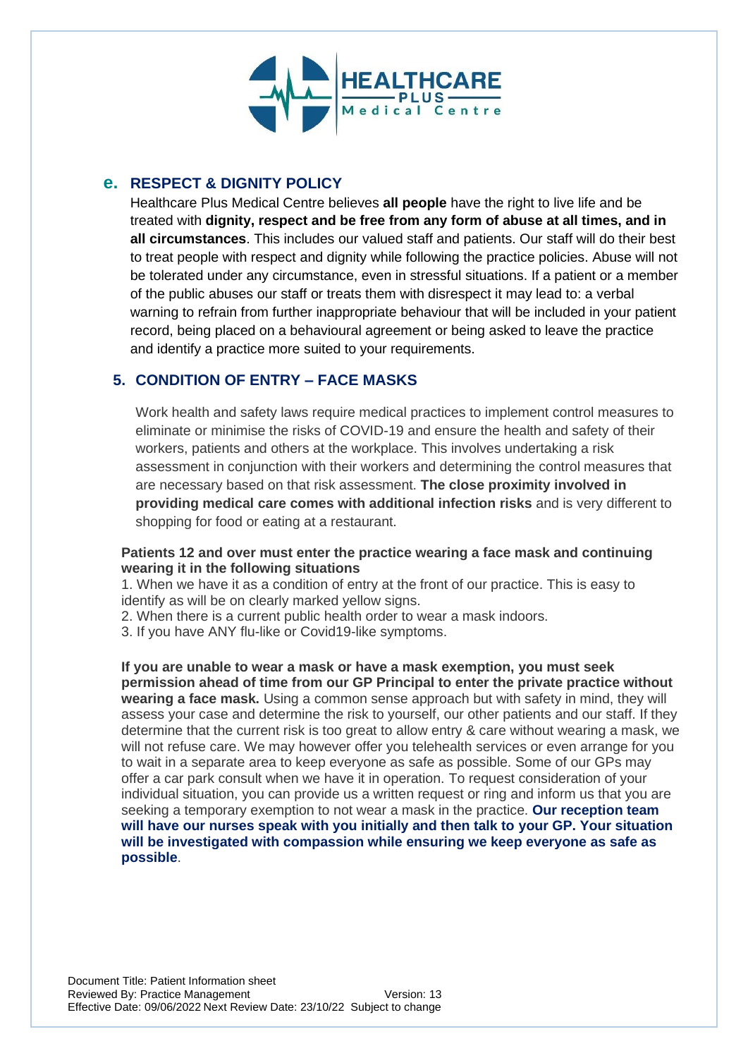

## **e. RESPECT & DIGNITY POLICY**

Healthcare Plus Medical Centre believes **all people** have the right to live life and be treated with **dignity, respect and be free from any form of abuse at all times, and in all circumstances**. This includes our valued staff and patients. Our staff will do their best to treat people with respect and dignity while following the practice policies. Abuse will not be tolerated under any circumstance, even in stressful situations. If a patient or a member of the public abuses our staff or treats them with disrespect it may lead to: a verbal warning to refrain from further inappropriate behaviour that will be included in your patient record, being placed on a behavioural agreement or being asked to leave the practice and identify a practice more suited to your requirements.

## **5. CONDITION OF ENTRY – FACE MASKS**

Work health and safety laws require medical practices to implement control measures to eliminate or minimise the risks of COVID-19 and ensure the health and safety of their workers, patients and others at the workplace. This involves undertaking a risk assessment in conjunction with their workers and determining the control measures that are necessary based on that risk assessment. **The close proximity involved in providing medical care comes with additional infection risks** and is very different to shopping for food or eating at a restaurant.

#### **Patients 12 and over must enter the practice wearing a face mask and continuing wearing it in the following situations**

1. When we have it as a condition of entry at the front of our practice. This is easy to identify as will be on clearly marked yellow signs.

2. When there is a current public health order to wear a mask indoors.

3. If you have ANY flu-like or Covid19-like symptoms.

**If you are unable to wear a mask or have a mask exemption, you must seek permission ahead of time from our GP Principal to enter the private practice without wearing a face mask.** Using a common sense approach but with safety in mind, they will assess your case and determine the risk to yourself, our other patients and our staff. If they determine that the current risk is too great to allow entry & care without wearing a mask, we will not refuse care. We may however offer you telehealth services or even arrange for you to wait in a separate area to keep everyone as safe as possible. Some of our GPs may offer a car park consult when we have it in operation. To request consideration of your individual situation, you can provide us a written request or ring and inform us that you are seeking a temporary exemption to not wear a mask in the practice. **Our reception team will have our nurses speak with you initially and then talk to your GP. Your situation will be investigated with compassion while ensuring we keep everyone as safe as possible**.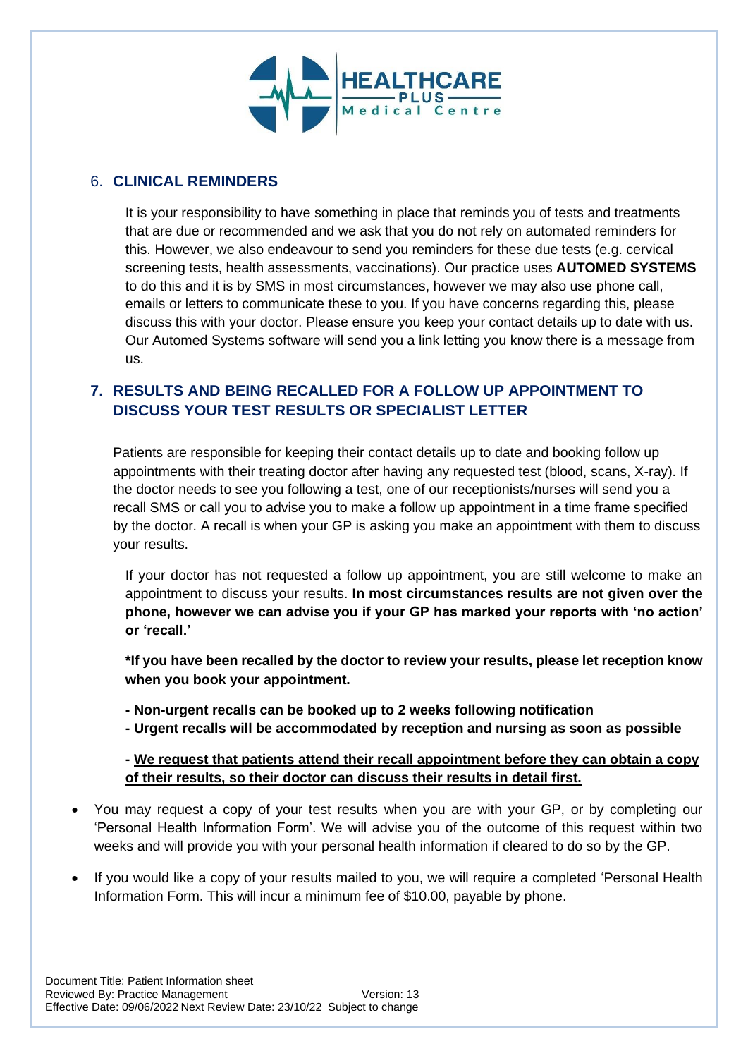

### 6. **CLINICAL REMINDERS**

It is your responsibility to have something in place that reminds you of tests and treatments that are due or recommended and we ask that you do not rely on automated reminders for this. However, we also endeavour to send you reminders for these due tests (e.g. cervical screening tests, health assessments, vaccinations). Our practice uses **AUTOMED SYSTEMS** to do this and it is by SMS in most circumstances, however we may also use phone call, emails or letters to communicate these to you. If you have concerns regarding this, please discuss this with your doctor. Please ensure you keep your contact details up to date with us. Our Automed Systems software will send you a link letting you know there is a message from us.

## **7. RESULTS AND BEING RECALLED FOR A FOLLOW UP APPOINTMENT TO DISCUSS YOUR TEST RESULTS OR SPECIALIST LETTER**

Patients are responsible for keeping their contact details up to date and booking follow up appointments with their treating doctor after having any requested test (blood, scans, X-ray). If the doctor needs to see you following a test, one of our receptionists/nurses will send you a recall SMS or call you to advise you to make a follow up appointment in a time frame specified by the doctor. A recall is when your GP is asking you make an appointment with them to discuss your results.

If your doctor has not requested a follow up appointment, you are still welcome to make an appointment to discuss your results. **In most circumstances results are not given over the phone, however we can advise you if your GP has marked your reports with 'no action' or 'recall.'**

**\*If you have been recalled by the doctor to review your results, please let reception know when you book your appointment.**

- **- Non-urgent recalls can be booked up to 2 weeks following notification**
- **- Urgent recalls will be accommodated by reception and nursing as soon as possible**

**- We request that patients attend their recall appointment before they can obtain a copy of their results, so their doctor can discuss their results in detail first.**

- You may request a copy of your test results when you are with your GP, or by completing our 'Personal Health Information Form'. We will advise you of the outcome of this request within two weeks and will provide you with your personal health information if cleared to do so by the GP.
- If you would like a copy of your results mailed to you, we will require a completed 'Personal Health Information Form. This will incur a minimum fee of \$10.00, payable by phone.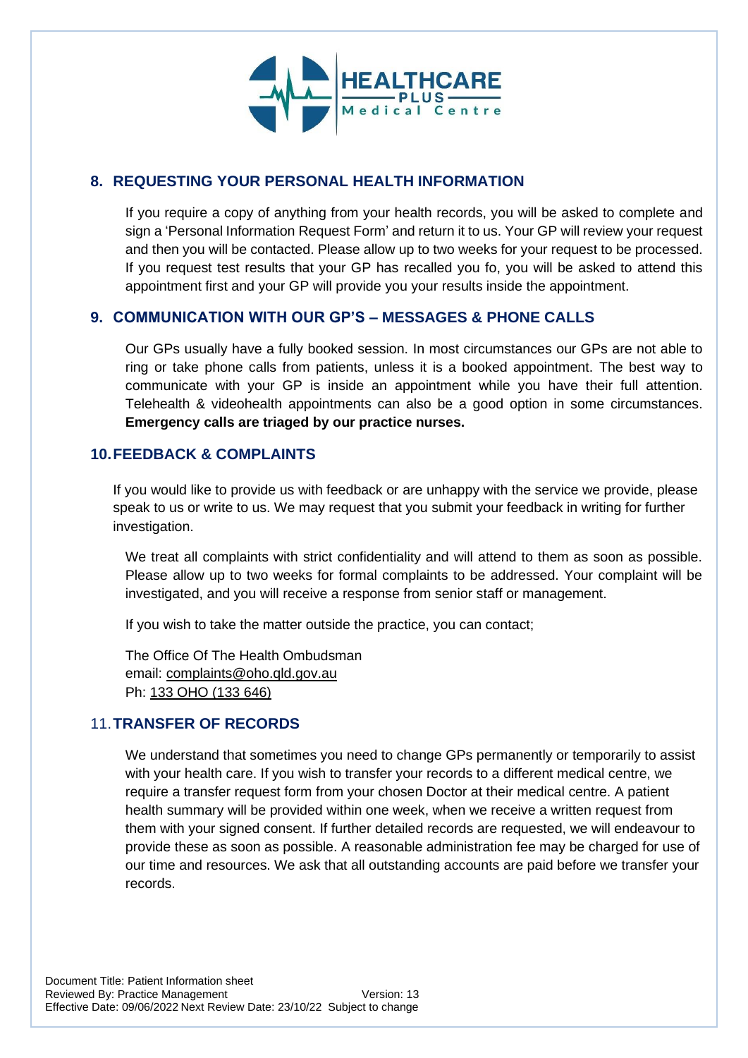

### **8. REQUESTING YOUR PERSONAL HEALTH INFORMATION**

If you require a copy of anything from your health records, you will be asked to complete and sign a 'Personal Information Request Form' and return it to us. Your GP will review your request and then you will be contacted. Please allow up to two weeks for your request to be processed. If you request test results that your GP has recalled you fo, you will be asked to attend this appointment first and your GP will provide you your results inside the appointment.

#### **9. COMMUNICATION WITH OUR GP'S – MESSAGES & PHONE CALLS**

Our GPs usually have a fully booked session. In most circumstances our GPs are not able to ring or take phone calls from patients, unless it is a booked appointment. The best way to communicate with your GP is inside an appointment while you have their full attention. Telehealth & videohealth appointments can also be a good option in some circumstances. **Emergency calls are triaged by our practice nurses.** 

#### **10.FEEDBACK & COMPLAINTS**

If you would like to provide us with feedback or are unhappy with the service we provide, please speak to us or write to us. We may request that you submit your feedback in writing for further investigation.

We treat all complaints with strict confidentiality and will attend to them as soon as possible. Please allow up to two weeks for formal complaints to be addressed. Your complaint will be investigated, and you will receive a response from senior staff or management.

If you wish to take the matter outside the practice, you can contact;

The Office Of The Health Ombudsman email: [complaints@oho.qld.gov.au](mailto:complaints@oho.qld.gov.au) Ph: [133 OHO \(133 646\)](tel:133646)

#### 11.**TRANSFER OF RECORDS**

We understand that sometimes you need to change GPs permanently or temporarily to assist with your health care. If you wish to transfer your records to a different medical centre, we require a transfer request form from your chosen Doctor at their medical centre. A patient health summary will be provided within one week, when we receive a written request from them with your signed consent. If further detailed records are requested, we will endeavour to provide these as soon as possible. A reasonable administration fee may be charged for use of our time and resources. We ask that all outstanding accounts are paid before we transfer your records.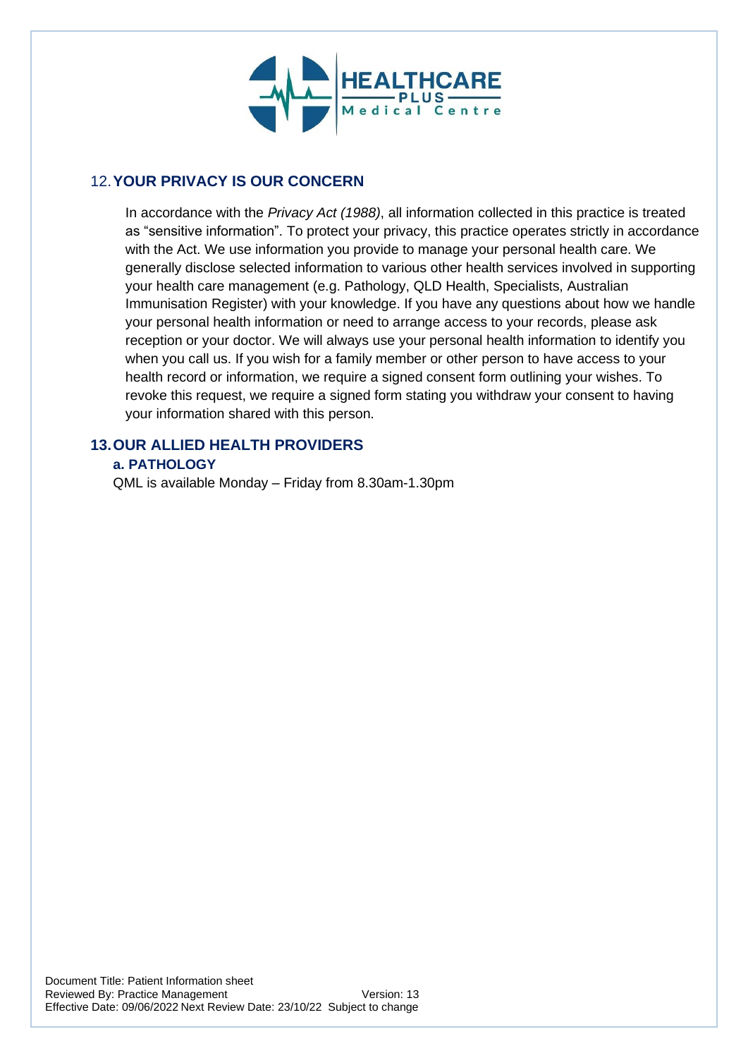

### 12.**YOUR PRIVACY IS OUR CONCERN**

In accordance with the *Privacy Act (1988)*, all information collected in this practice is treated as "sensitive information". To protect your privacy, this practice operates strictly in accordance with the Act. We use information you provide to manage your personal health care. We generally disclose selected information to various other health services involved in supporting your health care management (e.g. Pathology, QLD Health, Specialists, Australian Immunisation Register) with your knowledge. If you have any questions about how we handle your personal health information or need to arrange access to your records, please ask reception or your doctor. We will always use your personal health information to identify you when you call us. If you wish for a family member or other person to have access to your health record or information, we require a signed consent form outlining your wishes. To revoke this request, we require a signed form stating you withdraw your consent to having your information shared with this person.

#### **13.OUR ALLIED HEALTH PROVIDERS a. PATHOLOGY**

QML is available Monday – Friday from 8.30am-1.30pm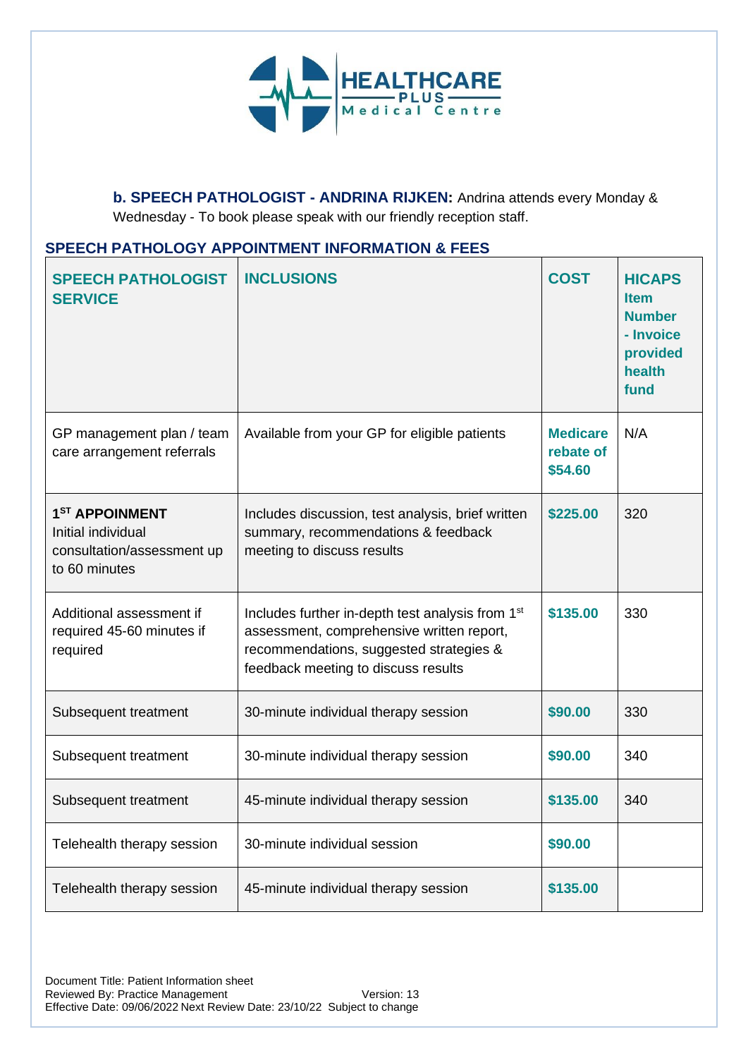

**b. SPEECH PATHOLOGIST - ANDRINA RIJKEN:** Andrina attends every Monday & Wednesday - To book please speak with our friendly reception staff.

#### **SPEECH PATHOLOGY APPOINTMENT INFORMATION & FEES**

| <b>SPEECH PATHOLOGIST</b><br><b>SERVICE</b>                                                     | <b>INCLUSIONS</b>                                                                                                                                                                           | <b>COST</b>                             | <b>HICAPS</b><br><b>Item</b><br><b>Number</b><br>- Invoice<br>provided<br>health<br>fund |
|-------------------------------------------------------------------------------------------------|---------------------------------------------------------------------------------------------------------------------------------------------------------------------------------------------|-----------------------------------------|------------------------------------------------------------------------------------------|
| GP management plan / team<br>care arrangement referrals                                         | Available from your GP for eligible patients                                                                                                                                                | <b>Medicare</b><br>rebate of<br>\$54.60 | N/A                                                                                      |
| 1 <sup>ST</sup> APPOINMENT<br>Initial individual<br>consultation/assessment up<br>to 60 minutes | Includes discussion, test analysis, brief written<br>summary, recommendations & feedback<br>meeting to discuss results                                                                      | \$225.00                                | 320                                                                                      |
| Additional assessment if<br>required 45-60 minutes if<br>required                               | Includes further in-depth test analysis from 1 <sup>st</sup><br>assessment, comprehensive written report,<br>recommendations, suggested strategies &<br>feedback meeting to discuss results | \$135.00                                | 330                                                                                      |
| Subsequent treatment                                                                            | 30-minute individual therapy session                                                                                                                                                        | \$90.00                                 | 330                                                                                      |
| Subsequent treatment                                                                            | 30-minute individual therapy session                                                                                                                                                        | \$90.00                                 | 340                                                                                      |
| Subsequent treatment                                                                            | 45-minute individual therapy session                                                                                                                                                        | \$135.00                                | 340                                                                                      |
| Telehealth therapy session                                                                      | 30-minute individual session                                                                                                                                                                | \$90.00                                 |                                                                                          |
| Telehealth therapy session                                                                      | 45-minute individual therapy session                                                                                                                                                        | \$135.00                                |                                                                                          |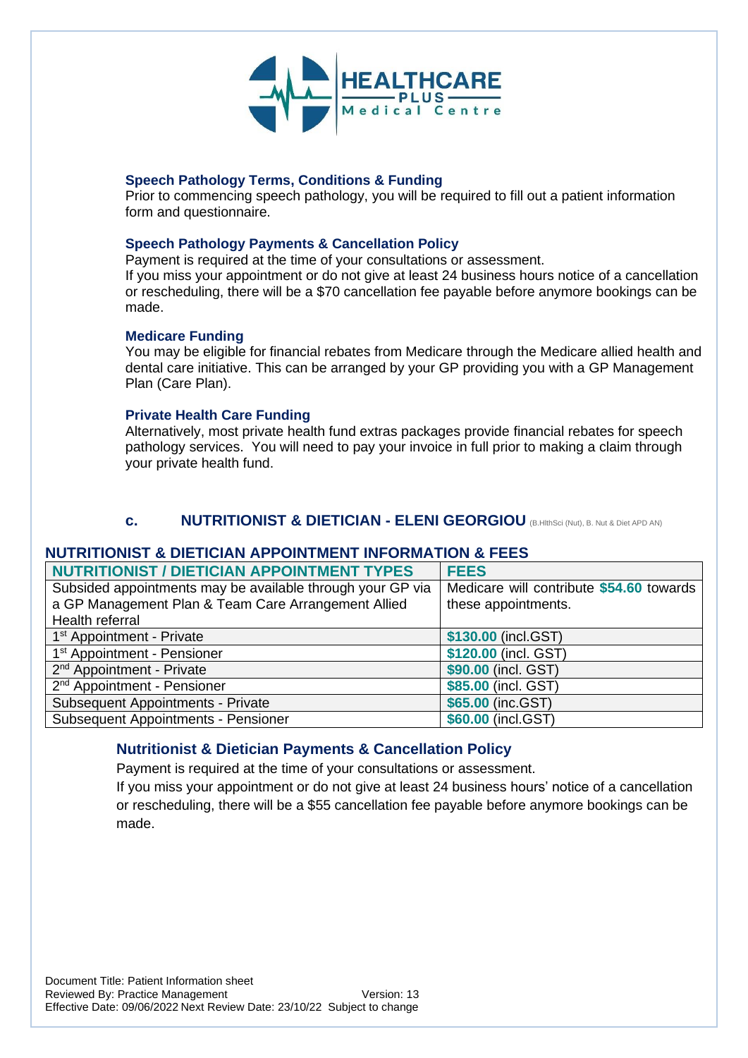

#### **Speech Pathology Terms, Conditions & Funding**

Prior to commencing speech pathology, you will be required to fill out a patient information form and questionnaire.

#### **Speech Pathology Payments & Cancellation Policy**

Payment is required at the time of your consultations or assessment. If you miss your appointment or do not give at least 24 business hours notice of a cancellation or rescheduling, there will be a \$70 cancellation fee payable before anymore bookings can be

#### **Medicare Funding**

made.

You may be eligible for financial rebates from Medicare through the Medicare allied health and dental care initiative. This can be arranged by your GP providing you with a GP Management Plan (Care Plan).

#### **Private Health Care Funding**

Alternatively, most private health fund extras packages provide financial rebates for speech pathology services. You will need to pay your invoice in full prior to making a claim through your private health fund.

#### **c. NUTRITIONIST & DIETICIAN - ELENI GEORGIOU** (B.HlthSci (Nut), B. Nut & Diet APD AN)

#### **NUTRITIONIST & DIETICIAN APPOINTMENT INFORMATION & FEES**

| <b>NUTRITIONIST / DIETICIAN APPOINTMENT TYPES</b>          | <b>FEES</b>                              |
|------------------------------------------------------------|------------------------------------------|
| Subsided appointments may be available through your GP via | Medicare will contribute \$54.60 towards |
| a GP Management Plan & Team Care Arrangement Allied        | these appointments.                      |
| Health referral                                            |                                          |
| 1 <sup>st</sup> Appointment - Private                      | \$130.00 (incl.GST)                      |
| 1 <sup>st</sup> Appointment - Pensioner                    | \$120.00 (incl. GST)                     |
| 2 <sup>nd</sup> Appointment - Private                      | \$90.00 (incl. GST)                      |
| 2 <sup>nd</sup> Appointment - Pensioner                    | \$85.00 (incl. GST)                      |
| <b>Subsequent Appointments - Private</b>                   | \$65.00 (inc.GST)                        |
| <b>Subsequent Appointments - Pensioner</b>                 | \$60.00 (incl.GST)                       |

#### **Nutritionist & Dietician Payments & Cancellation Policy**

Payment is required at the time of your consultations or assessment.

If you miss your appointment or do not give at least 24 business hours' notice of a cancellation or rescheduling, there will be a \$55 cancellation fee payable before anymore bookings can be made.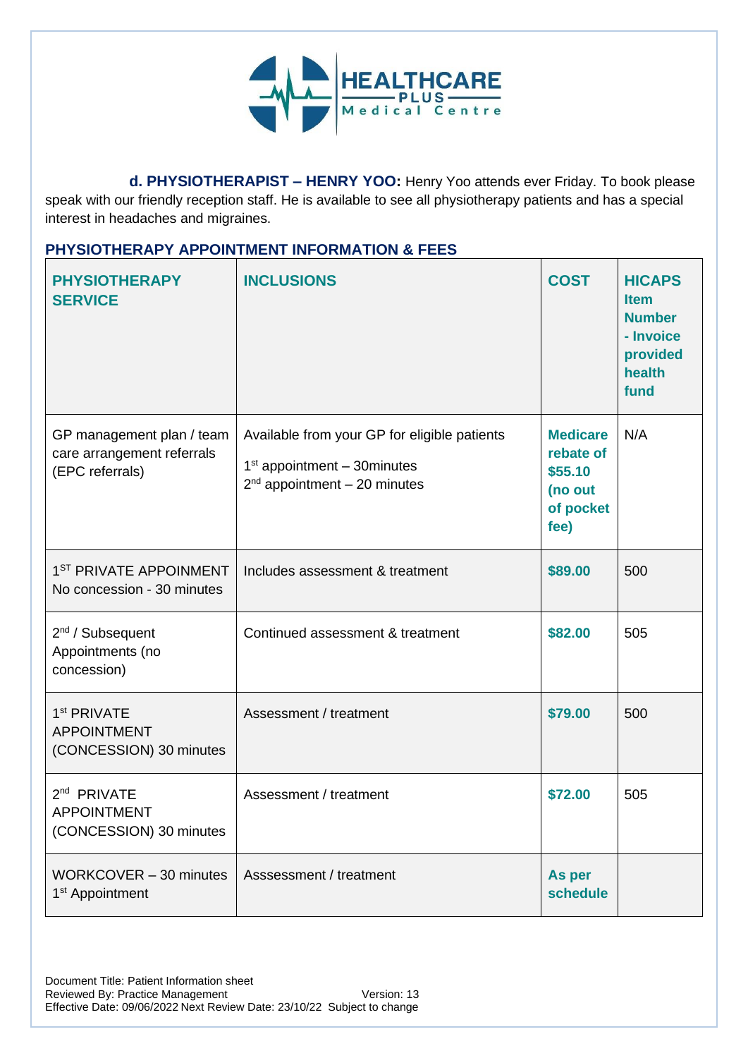

 **d. PHYSIOTHERAPIST – HENRY YOO:** Henry Yoo attends ever Friday. To book please speak with our friendly reception staff. He is available to see all physiotherapy patients and has a special interest in headaches and migraines.

### **PHYSIOTHERAPY APPOINTMENT INFORMATION & FEES**

| <b>PHYSIOTHERAPY</b><br><b>SERVICE</b>                                     | <b>INCLUSIONS</b>                                                                                                   | <b>COST</b>                                                             | <b>HICAPS</b><br><b>Item</b><br><b>Number</b><br>- Invoice<br>provided<br>health<br>fund |
|----------------------------------------------------------------------------|---------------------------------------------------------------------------------------------------------------------|-------------------------------------------------------------------------|------------------------------------------------------------------------------------------|
| GP management plan / team<br>care arrangement referrals<br>(EPC referrals) | Available from your GP for eligible patients<br>$1st$ appointment $-$ 30 minutes<br>$2nd$ appointment $-20$ minutes | <b>Medicare</b><br>rebate of<br>\$55.10<br>(no out<br>of pocket<br>fee) | N/A                                                                                      |
| 1 <sup>ST</sup> PRIVATE APPOINMENT<br>No concession - 30 minutes           | Includes assessment & treatment                                                                                     | \$89.00                                                                 | 500                                                                                      |
| 2 <sup>nd</sup> / Subsequent<br>Appointments (no<br>concession)            | Continued assessment & treatment                                                                                    | \$82.00                                                                 | 505                                                                                      |
| 1 <sup>st</sup> PRIVATE<br><b>APPOINTMENT</b><br>(CONCESSION) 30 minutes   | Assessment / treatment                                                                                              | \$79.00                                                                 | 500                                                                                      |
| 2 <sup>nd</sup> PRIVATE<br><b>APPOINTMENT</b><br>(CONCESSION) 30 minutes   | Assessment / treatment                                                                                              | \$72.00                                                                 | 505                                                                                      |
| WORKCOVER - 30 minutes<br>1 <sup>st</sup> Appointment                      | Asssessment / treatment                                                                                             | As per<br>schedule                                                      |                                                                                          |